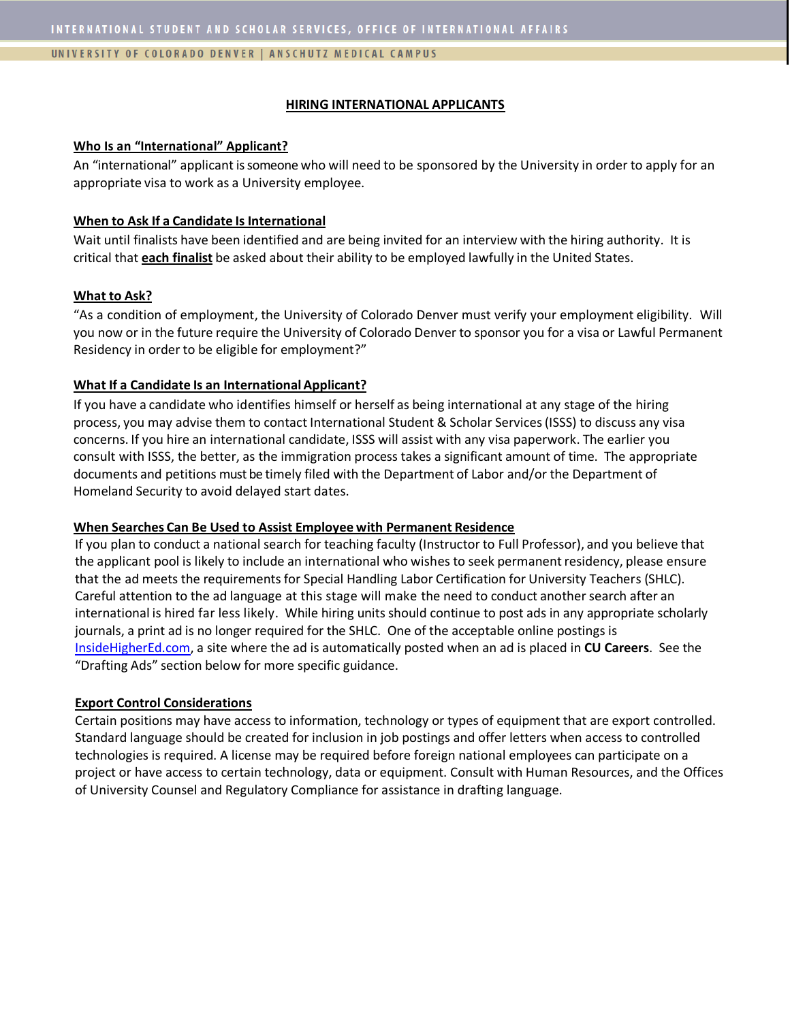#### UNIVERSITY OF COLORADO DENVER | ANSCHUTZ MEDICAL CAMPUS

#### **HIRING INTERNATIONAL APPLICANTS**

## **Who Is an "International" Applicant?**

An "international" applicant is someone who will need to be sponsored by the University in order to apply for an appropriate visa to work as a University employee.

## **When to Ask If a Candidate Is International**

Wait until finalists have been identified and are being invited for an interview with the hiring authority. It is critical that **each finalist** be asked about their ability to be employed lawfully in the United States.

## **What to Ask?**

"As a condition of employment, the University of Colorado Denver must verify your employment eligibility. Will you now or in the future require the University of Colorado Denver to sponsor you for a visa or Lawful Permanent Residency in order to be eligible for employment?"

## **What If a Candidate Is an InternationalApplicant?**

If you have a candidate who identifies himself or herself as being international at any stage of the hiring process, you may advise them to contact International Student & Scholar Services(ISSS) to discuss any visa concerns. If you hire an international candidate, ISSS will assist with any visa paperwork. The earlier you consult with ISSS, the better, as the immigration process takes a significant amount of time. The appropriate documents and petitions must be timely filed with the Department of Labor and/or the Department of Homeland Security to avoid delayed start dates.

## **When Searches Can Be Used to Assist Employee with Permanent Residence**

If you plan to conduct a national search for teaching faculty (Instructor to Full Professor), and you believe that the applicant pool is likely to include an international who wishes to seek permanent residency, please ensure that the ad meets the requirements for Special Handling Labor Certification for University Teachers (SHLC). Careful attention to the ad language at this stage will make the need to conduct another search after an international is hired far less likely. While hiring units should continue to post ads in any appropriate scholarly journals, a print ad is no longer required for the SHLC. One of the acceptable online postings is [InsideHigherEd.com,](http://insidehighered.com/) a site where the ad is automatically posted when an ad is placed in **CU Careers**. See the "Drafting Ads" section below for more specific guidance.

## **Export Control Considerations**

Certain positions may have access to information, technology or types of equipment that are export controlled. Standard language should be created for inclusion in job postings and offer letters when access to controlled technologies is required. A license may be required before foreign national employees can participate on a project or have access to certain technology, data or equipment. Consult with Human Resources, and the Offices of University Counsel and Regulatory Compliance for assistance in drafting language.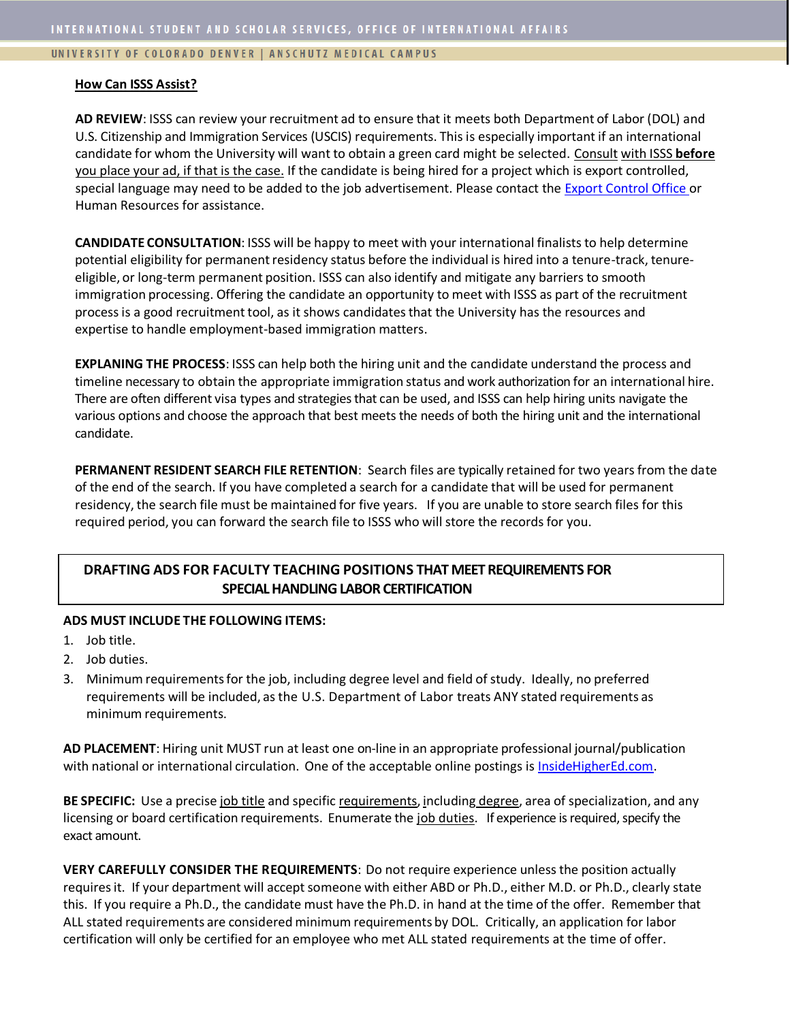## UNIVERSITY OF COLORADO DENVER | ANSCHUTZ MEDICAL CAMPUS

#### **How Can ISSS Assist?**

**AD REVIEW**: ISSS can review your recruitment ad to ensure that it meets both Department of Labor (DOL) and U.S. Citizenship and Immigration Services (USCIS) requirements. This is especially important if an international candidate for whom the University will want to obtain a green card might be selected. Consult with ISSS **before** you place your ad, if that is the case. If the candidate is being hired for a project which is export controlled, special language may need to be added to the job advertisement. Please contact the [Export Control Office o](http://www.ucdenver.edu/research/ORC/EC/Pages/default.aspx)r Human Resources for assistance.

**CANDIDATE CONSULTATION**: ISSS will be happy to meet with your international finalists to help determine potential eligibility for permanent residency status before the individual is hired into a tenure-track, tenureeligible, or long‐term permanent position. ISSS can also identify and mitigate any barriers to smooth immigration processing. Offering the candidate an opportunity to meet with ISSS as part of the recruitment processis a good recruitmenttool, as it shows candidatesthat the University has the resources and expertise to handle employment-based immigration matters.

**EXPLANING THE PROCESS**: ISSS can help both the hiring unit and the candidate understand the process and timeline necessary to obtain the appropriate immigration status and work authorization for an international hire. There are often different visa types and strategies that can be used, and ISSS can help hiring units navigate the various options and choose the approach that best meets the needs of both the hiring unit and the international candidate.

**PERMANENT RESIDENT SEARCH FILE RETENTION**: Search files are typically retained for two years from the date of the end of the search. If you have completed a search for a candidate that will be used for permanent residency,the search file must be maintained for five years. If you are unable to store search files for this required period, you can forward the search file to ISSS who will store the records for you.

# **DRAFTING ADS FOR FACULTY TEACHING POSITIONS THAT MEET REQUIREMENTS FOR SPECIAL HANDLING LABOR CERTIFICATION**

## **ADS MUST INCLUDE THE FOLLOWING ITEMS:**

- 1. Job title.
- 2. Job duties.
- 3. Minimum requirementsfor the job, including degree level and field of study. Ideally, no preferred requirements will be included, as the U.S. Department of Labor treats ANY stated requirements as minimum requirements.

**AD PLACEMENT**: Hiring unit MUST run at least one on-line in an appropriate professional journal/publication with national or international circulation. One of the acceptable online postings is [InsideHigherEd.com.](http://insidehighered.com/)

**BE SPECIFIC:** Use a precise job title and specific requirements, including degree, area of specialization, and any licensing or board certification requirements. Enumerate the job duties. If experience is required, specify the exact amount.

**VERY CAREFULLY CONSIDER THE REQUIREMENTS**: Do not require experience unless the position actually requires it. If your department will accept someone with either ABD or Ph.D., either M.D. or Ph.D., clearly state this. If you require a Ph.D., the candidate must have the Ph.D. in hand at the time of the offer. Remember that ALL stated requirements are considered minimum requirements by DOL. Critically, an application for labor certification will only be certified for an employee who met ALL stated requirements at the time of offer.